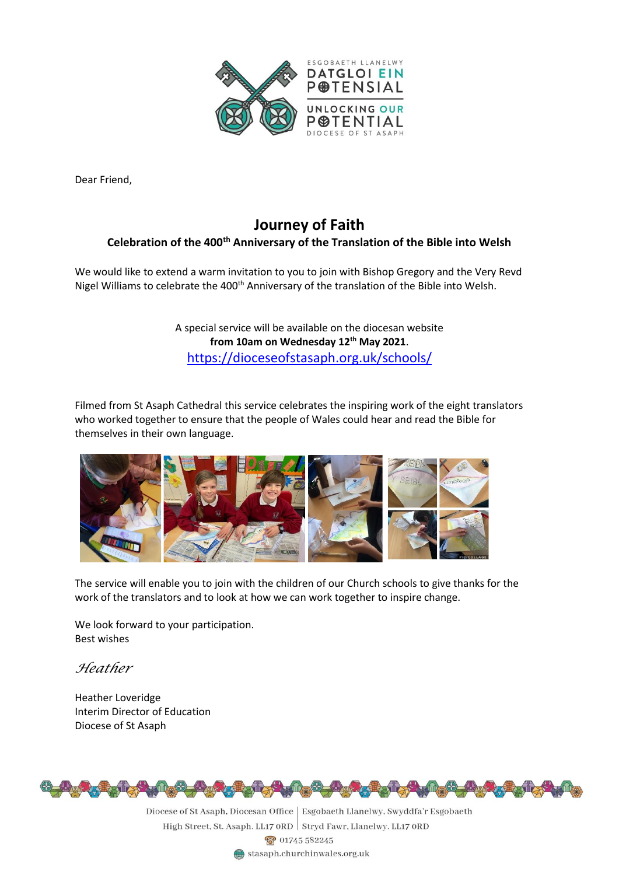

Dear Friend,

## **Journey of Faith Celebration of the 400th Anniversary of the Translation of the Bible into Welsh**

We would like to extend a warm invitation to you to join with Bishop Gregory and the Very Revd Nigel Williams to celebrate the 400<sup>th</sup> Anniversary of the translation of the Bible into Welsh.

> A special service will be available on the diocesan website **from 10am on Wednesday 12th May 2021**. <https://dioceseofstasaph.org.uk/schools/>

Filmed from St Asaph Cathedral this service celebrates the inspiring work of the eight translators who worked together to ensure that the people of Wales could hear and read the Bible for themselves in their own language.



The service will enable you to join with the children of our Church schools to give thanks for the work of the translators and to look at how we can work together to inspire change.

We look forward to your participation. Best wishes

*Heather*

Heather Loveridge Interim Director of Education Diocese of St Asaph



Diocese of St Asaph, Diocesan Office | Esgobaeth Llanelwy, Swyddfa'r Esgobaeth High Street, St. Asaph. LL17 ORD Stryd Fawr, Llanelwy. LL17 ORD <u>ෙබ්</u> 01745 582245 stasaph.churchinwales.org.uk